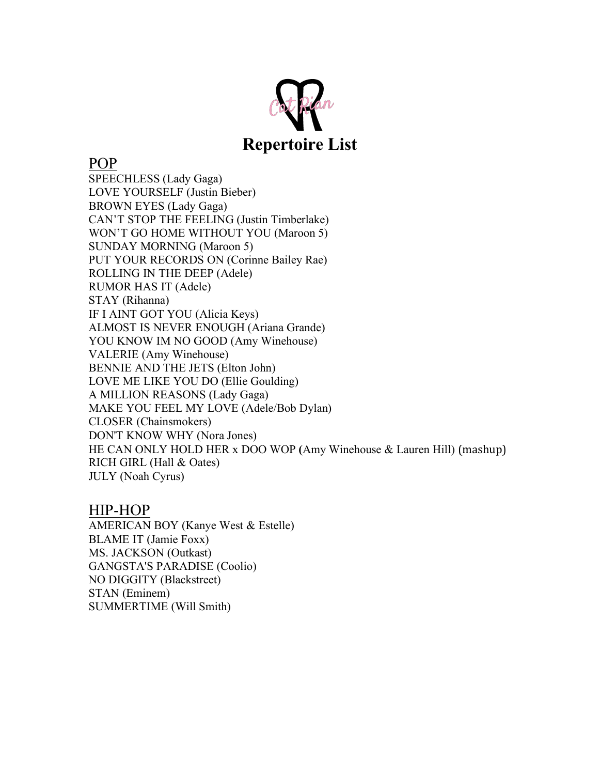

## POP

SPEECHLESS (Lady Gaga) LOVE YOURSELF (Justin Bieber) BROWN EYES (Lady Gaga) CAN'T STOP THE FEELING (Justin Timberlake) WON'T GO HOME WITHOUT YOU (Maroon 5) SUNDAY MORNING (Maroon 5) PUT YOUR RECORDS ON (Corinne Bailey Rae) ROLLING IN THE DEEP (Adele) RUMOR HAS IT (Adele) STAY (Rihanna) IF I AINT GOT YOU (Alicia Keys) ALMOST IS NEVER ENOUGH (Ariana Grande) YOU KNOW IM NO GOOD (Amy Winehouse) VALERIE (Amy Winehouse) BENNIE AND THE JETS (Elton John) LOVE ME LIKE YOU DO (Ellie Goulding) A MILLION REASONS (Lady Gaga) MAKE YOU FEEL MY LOVE (Adele/Bob Dylan) CLOSER (Chainsmokers) DON'T KNOW WHY (Nora Jones) HE CAN ONLY HOLD HER x DOO WOP **(**Amy Winehouse & Lauren Hill) (mashup) RICH GIRL (Hall & Oates) JULY (Noah Cyrus)

#### HIP-HOP

AMERICAN BOY (Kanye West & Estelle) BLAME IT (Jamie Foxx) MS. JACKSON (Outkast) GANGSTA'S PARADISE (Coolio) NO DIGGITY (Blackstreet) STAN (Eminem) SUMMERTIME (Will Smith)